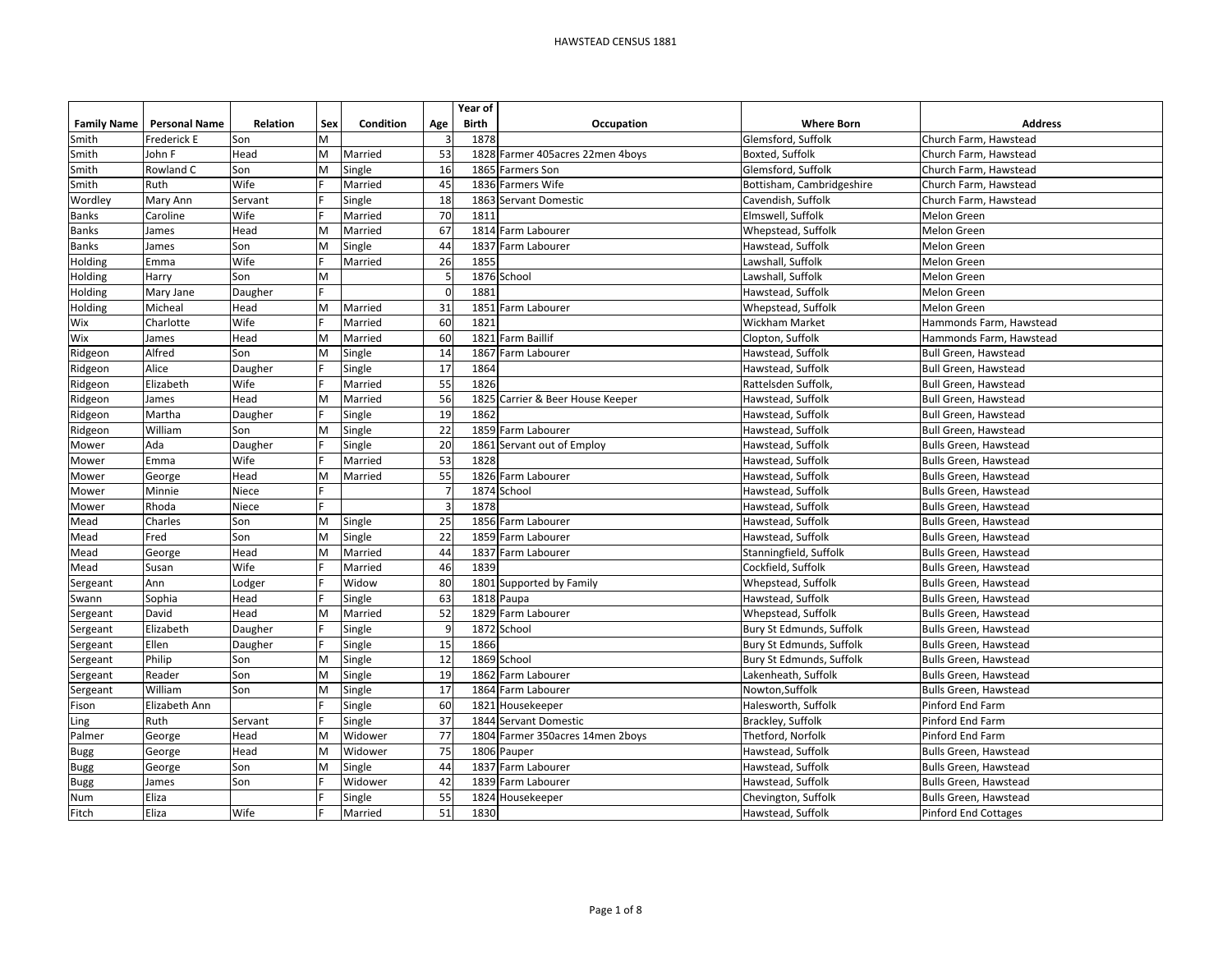|                    |                      |          |     |           |                | Year of      |                             |                           |                              |
|--------------------|----------------------|----------|-----|-----------|----------------|--------------|-----------------------------|---------------------------|------------------------------|
| <b>Family Name</b> | <b>Personal Name</b> | Relation | Sex | Condition | Age            | <b>Birth</b> | Occupation                  | <b>Where Born</b>         | <b>Address</b>               |
| Smith              | Frederick E          | Son      | M   |           |                | 1878         |                             | Glemsford, Suffolk        | Church Farm, Hawstead        |
| Smith              | John F               | Head     | M   | Married   | 53             | 1828         | Farmer 405acres 22men 4boys | Boxted, Suffolk           | Church Farm, Hawstead        |
| Smith              | Rowland C            | Son      | M   | Single    | 16             |              | 1865 Farmers Son            | Glemsford, Suffolk        | Church Farm, Hawstead        |
| Smith              | Ruth                 | Wife     |     | Married   | 45             |              | 1836 Farmers Wife           | Bottisham, Cambridgeshire | Church Farm, Hawstead        |
| Wordley            | Mary Ann             | Servant  |     | Single    | 18             | 1863         | Servant Domestic            | Cavendish, Suffolk        | Church Farm, Hawstead        |
| <b>Banks</b>       | Caroline             | Wife     |     | Married   | 70             | 1811         |                             | Elmswell, Suffolk         | Melon Green                  |
| Banks              | James                | Head     | M   | Married   | 67             | 1814         | Farm Labourer               | Whepstead, Suffolk        | Melon Green                  |
| Banks              | James                | Son      | M   | Single    | 44             | 1837         | Farm Labourer               | Hawstead, Suffolk         | Melon Green                  |
| Holding            | Emma                 | Wife     |     | Married   | 26             | 1855         |                             | Lawshall, Suffolk         | Melon Green                  |
| Holding            | Harry                | Son      | M   |           | 5 <sub>l</sub> |              | 1876 School                 | Lawshall, Suffolk         | Melon Green                  |
| Holding            | Mary Jane            | Daugher  |     |           | $\Omega$       | 1881         |                             | Hawstead, Suffolk         | Melon Green                  |
| Holding            | Micheal              | Head     | M   | Married   | 31             | 1851         | Farm Labourer               | Whepstead, Suffolk        | Melon Green                  |
| Wix                | Charlotte            | Wife     |     | Married   | 60             | 1821         |                             | <b>Wickham Market</b>     | Hammonds Farm, Hawstead      |
| Wix                | James                | Head     | M   | Married   | 60             | 1821         | <b>Farm Baillif</b>         | Clopton, Suffolk          | Hammonds Farm, Hawstead      |
| Ridgeon            | Alfred               | Son      | M   | Single    | 14             |              | 1867 Farm Labourer          | Hawstead, Suffolk         | Bull Green, Hawstead         |
| Ridgeon            | Alice                | Daugher  |     | Single    | 17             | 1864         |                             | Hawstead, Suffolk         | Bull Green, Hawstead         |
| Ridgeon            | Elizabeth            | Wife     |     | Married   | 55             | 1826         |                             | Rattelsden Suffolk.       | <b>Bull Green, Hawstead</b>  |
| Ridgeon            | James                | Head     | M   | Married   | 56             | 1825         | Carrier & Beer House Keeper | Hawstead, Suffolk         | Bull Green, Hawstead         |
| Ridgeon            | Martha               | Daugher  |     | Single    | 19             | 1862         |                             | Hawstead, Suffolk         | Bull Green, Hawstead         |
| Ridgeon            | William              | Son      | M   | Single    | 22             |              | 1859 Farm Labourer          | Hawstead, Suffolk         | Bull Green, Hawstead         |
| Mower              | Ada                  | Daugher  |     | Single    | 20             | 1861         | Servant out of Employ       | Hawstead, Suffolk         | <b>Bulls Green, Hawstead</b> |
| Mower              | Emma                 | Wife     |     | Married   | 53             | 1828         |                             | Hawstead, Suffolk         | <b>Bulls Green, Hawstead</b> |
| Mower              | George               | Head     | M   | Married   | 55             | 1826         | Farm Labourer               | Hawstead, Suffolk         | Bulls Green, Hawstead        |
| Mower              | Minnie               | Niece    |     |           |                |              | 1874 School                 | Hawstead, Suffolk         | Bulls Green, Hawstead        |
| Mower              | Rhoda                | Niece    |     |           | Р              | 1878         |                             | Hawstead, Suffolk         | <b>Bulls Green, Hawstead</b> |
| Mead               | Charles              | Son      | M   | Single    | 25             |              | 1856 Farm Labourer          | Hawstead, Suffolk         | <b>Bulls Green, Hawstead</b> |
| Mead               | Fred                 | Son      | M   | Single    | 22             |              | 1859 Farm Labourer          | Hawstead, Suffolk         | <b>Bulls Green, Hawstead</b> |
| Mead               | George               | Head     | M   | Married   | 44             | 1837         | Farm Labourer               | Stanningfield, Suffolk    | <b>Bulls Green, Hawstead</b> |
| Mead               | Susan                | Wife     |     | Married   | 46             | 1839         |                             | Cockfield, Suffolk        | <b>Bulls Green, Hawstead</b> |
| Sergeant           | Ann                  | Lodger   |     | Widow     | 80             |              | 1801 Supported by Family    | Whepstead, Suffolk        | Bulls Green, Hawstead        |
| Swann              | Sophia               | Head     |     | Single    | 63             |              | 1818 Paupa                  | Hawstead, Suffolk         | <b>Bulls Green, Hawstead</b> |
| Sergeant           | David                | Head     | M   | Married   | 52             | 1829         | Farm Labourer               | Whepstead, Suffolk        | Bulls Green, Hawstead        |
| Sergeant           | Elizabeth            | Daugher  |     | Single    |                | 1872         | School                      | Bury St Edmunds, Suffolk  | <b>Bulls Green, Hawstead</b> |
| Sergeant           | Ellen                | Daugher  |     | Single    | 15             | 1866         |                             | Bury St Edmunds, Suffolk  | <b>Bulls Green, Hawstead</b> |
| Sergeant           | Philip               | Son      | M   | Single    | 12             |              | 1869 School                 | Bury St Edmunds, Suffolk  | <b>Bulls Green, Hawstead</b> |
| Sergeant           | Reader               | Son      | M   | Single    | 19             | 1862         | Farm Labourer               | Lakenheath, Suffolk       | Bulls Green, Hawstead        |
| Sergeant           | William              | Son      | M   | Single    | 17             |              | 1864 Farm Labourer          | Nowton, Suffolk           | Bulls Green, Hawstead        |
| Fison              | Elizabeth Ann        |          |     | Single    | 60             | 1821         | Housekeeper                 | Halesworth, Suffolk       | Pinford End Farm             |
| Ling               | Ruth                 | Servant  |     | Single    | 37             | 1844         | Servant Domestic            | Brackley, Suffolk         | Pinford End Farm             |
| Palmer             | George               | Head     | M   | Widower   | 77             | 1804         | Farmer 350acres 14men 2boys | Thetford, Norfolk         | Pinford End Farm             |
| <b>Bugg</b>        | George               | Head     | M   | Widower   | 75             |              | 1806 Pauper                 | Hawstead, Suffolk         | Bulls Green, Hawstead        |
| <b>Bugg</b>        | George               | Son      | M   | Single    | 44             |              | 1837 Farm Labourer          | Hawstead, Suffolk         | Bulls Green, Hawstead        |
| <b>Bugg</b>        | James                | Son      |     | Widower   | 42             |              | 1839 Farm Labourer          | Hawstead, Suffolk         | <b>Bulls Green, Hawstead</b> |
| Num                | Eliza                |          |     | Single    | 55             | 1824         | Housekeeper                 | Chevington, Suffolk       | <b>Bulls Green, Hawstead</b> |
| Fitch              | Eliza                | Wife     |     | Married   | 51             | 1830         |                             | Hawstead, Suffolk         | <b>Pinford End Cottages</b>  |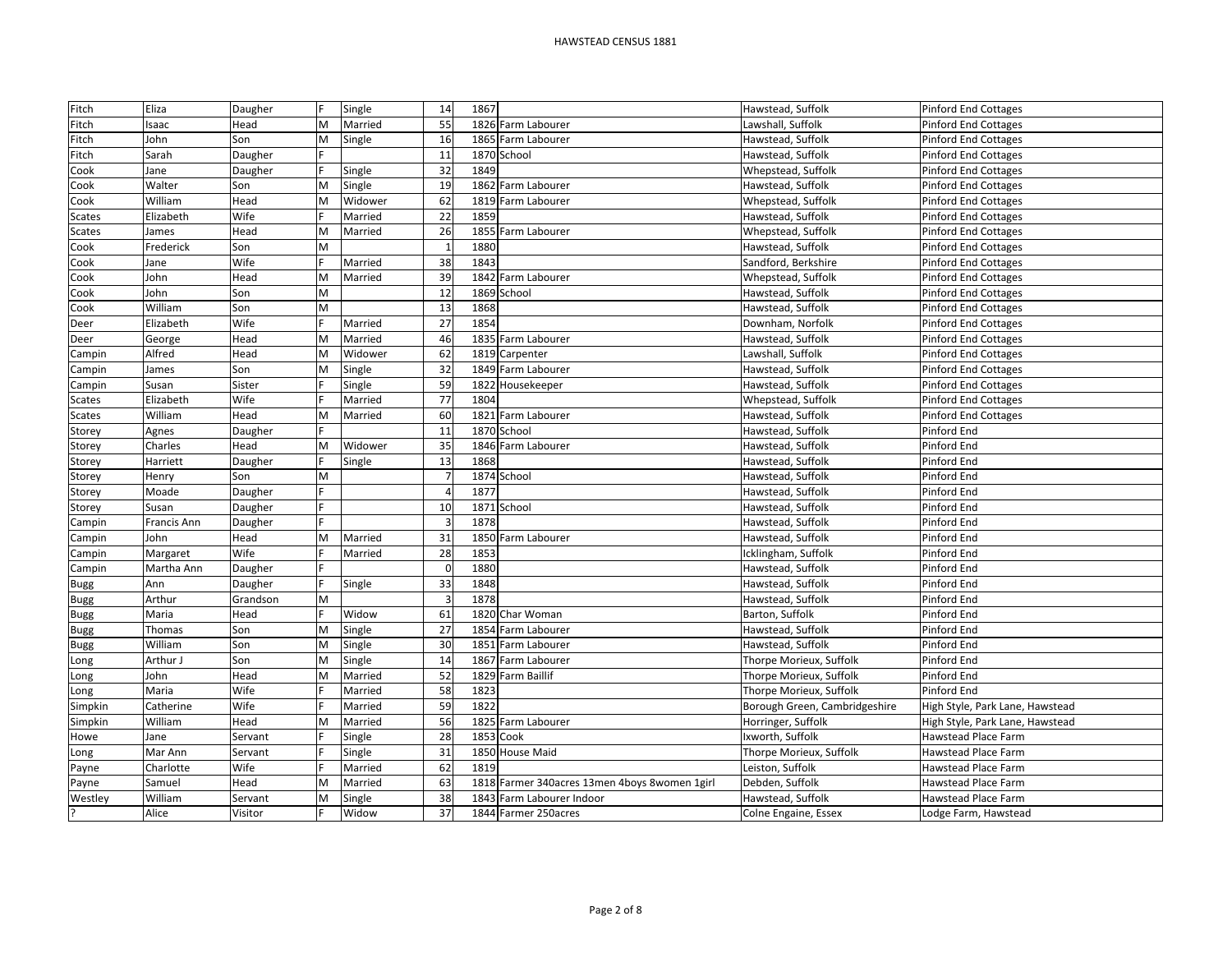| Fitch          | Eliza              | Daugher         | E      | Single             | 14       | 1867 |                                               | Hawstead, Suffolk                      | <b>Pinford End Cottages</b>                            |
|----------------|--------------------|-----------------|--------|--------------------|----------|------|-----------------------------------------------|----------------------------------------|--------------------------------------------------------|
| Fitch          | saac               | Head            | M      | Married            | 55       |      | 1826 Farm Labourer                            | Lawshall, Suffolk                      | <b>Pinford End Cottages</b>                            |
| Fitch          | John               | Son             | M      | Single             | 16       |      | 1865 Farm Labourer                            | Hawstead, Suffolk                      | <b>Pinford End Cottages</b>                            |
| Fitch          | Sarah              | Daugher         |        |                    | 11       |      | 1870 School                                   | Hawstead, Suffolk                      | <b>Pinford End Cottages</b>                            |
| Cook           | Jane               | Daugher         |        | Single             | 32       | 1849 |                                               | Whepstead, Suffolk                     | <b>Pinford End Cottages</b>                            |
| Cook           | Walter             | Son             | M      | Single             | 19       |      | 1862 Farm Labourer                            | Hawstead, Suffolk                      | <b>Pinford End Cottages</b>                            |
| Cook           | William            | Head            | M      | Widower            | 62       |      | 1819 Farm Labourer                            | Whepstead, Suffolk                     | <b>Pinford End Cottages</b>                            |
| <b>Scates</b>  | Elizabeth          | Wife            |        | Married            | 22       | 1859 |                                               | Hawstead, Suffolk                      | <b>Pinford End Cottages</b>                            |
| <b>Scates</b>  | James              | Head            | M      | Married            | 26       | 1855 | Farm Labourer                                 | Whepstead, Suffolk                     | <b>Pinford End Cottages</b>                            |
| Cook           | Frederick          | Son             | M      |                    |          | 1880 |                                               | Hawstead, Suffolk                      | <b>Pinford End Cottages</b>                            |
| Cook           | Jane               | Wife            |        | Married            | 38       | 1843 |                                               | Sandford, Berkshire                    | Pinford End Cottages                                   |
| Cook           | John               | Head            | M      | Married            | 39       |      | 1842 Farm Labourer                            | Whepstead, Suffolk                     | <b>Pinford End Cottages</b>                            |
| Cook           | John               | Son             | M      |                    | 12       |      | 1869 School                                   | Hawstead, Suffolk                      | <b>Pinford End Cottages</b>                            |
| Cook           | William            | Son             | M      |                    | 13       | 1868 |                                               | Hawstead, Suffolk                      | <b>Pinford End Cottages</b>                            |
| Deer           | Elizabeth          | Wife            |        | Married            | 27       | 1854 |                                               | Downham, Norfolk                       | <b>Pinford End Cottages</b>                            |
| Deer           | George             | Head            | M      | Married            | 46       |      | 1835 Farm Labourer                            | Hawstead, Suffolk                      | <b>Pinford End Cottages</b>                            |
| Campin         | Alfred             | Head            | M      | Widower            | 62       |      | 1819 Carpenter                                | Lawshall, Suffolk                      | <b>Pinford End Cottages</b>                            |
| Campin         | James              | Son             | M      | Single             | 32       |      | 1849 Farm Labourer                            | Hawstead, Suffolk                      | <b>Pinford End Cottages</b>                            |
| Campin         | Susan              | Sister          |        | Single             | 59       | 1822 | Housekeeper                                   | Hawstead, Suffolk                      | <b>Pinford End Cottages</b>                            |
| Scates         | Elizabeth          | Wife            |        | Married            | 77       | 1804 |                                               | Whepstead, Suffolk                     | <b>Pinford End Cottages</b>                            |
| <b>Scates</b>  | William            | Head            | M      | Married            | 60       | 1821 | Farm Labourer                                 | Hawstead, Suffolk                      | <b>Pinford End Cottages</b>                            |
| Storey         | Agnes              | Daugher         |        |                    | 11       |      | 1870 School                                   | Hawstead, Suffolk                      | Pinford End                                            |
| Storey         | Charles            | Head            | M      | Widower            | 35       |      | 1846 Farm Labourer                            | Hawstead, Suffolk                      | Pinford End                                            |
| Storey         | Harriett           | Daugher         |        | Single             | 13       | 1868 |                                               | Hawstead, Suffolk                      | Pinford End                                            |
| Storey         | Henry              | Son             | M      |                    |          |      | 1874 School                                   | Hawstead, Suffolk                      | Pinford End                                            |
| Storey         | Moade              | Daugher         |        |                    |          | 1877 |                                               | Hawstead, Suffolk                      | Pinford End                                            |
| Storey         | Susan              | Daugher         |        |                    | 10       | 1871 | School                                        | Hawstead, Suffolk                      | Pinford End                                            |
| Campin         | Francis Ann        | Daugher         |        |                    |          | 1878 |                                               | Hawstead, Suffolk                      | Pinford End                                            |
| Campin         | John               | Head            | M      | Married            | 31       |      | 1850 Farm Labourer                            | Hawstead, Suffolk                      | Pinford End                                            |
| Campin         | Margaret           | Wife            |        | Married            | 28       | 1853 |                                               | Icklingham, Suffolk                    | Pinford End                                            |
| Campin         | Martha Ann         | Daugher         |        |                    | $\Omega$ | 1880 |                                               | Hawstead, Suffolk                      | Pinford End                                            |
| <b>Bugg</b>    | Ann                | Daugher         |        | Single             | 33       | 1848 |                                               | Hawstead, Suffolk                      | Pinford End                                            |
| <b>Bugg</b>    | Arthur             | Grandson        | M      |                    |          | 1878 |                                               | Hawstead, Suffolk                      | Pinford End                                            |
| <b>Bugg</b>    | Maria              | Head            |        | Widow              | 61       |      | 1820 Char Woman                               | Barton, Suffolk                        | Pinford End                                            |
| <b>Bugg</b>    | Thomas             | Son             | M      | Single             | 27       |      | 1854 Farm Labourer                            | Hawstead, Suffolk                      | Pinford End                                            |
| <b>Bugg</b>    | William            | Son             | M      | Single             | 30       |      | 1851 Farm Labourer                            | Hawstead, Suffolk                      | Pinford End<br>Pinford End                             |
| Long           | Arthur J           | Son             | M<br>M | Single             | 14<br>52 | 1829 | 1867 Farm Labourer                            | Thorpe Morieux, Suffolk                | Pinford End                                            |
| Long           | John               | Head<br>Wife    |        | Married            | 58       | 1823 | <b>Farm Baillif</b>                           | Thorpe Morieux, Suffolk                | Pinford End                                            |
| Long           | Maria<br>Catherine | Wife            |        | Married<br>Married | 59       | 1822 |                                               | Thorpe Morieux, Suffolk                | High Style, Park Lane, Hawstead                        |
| Simpkin        |                    |                 | M      |                    |          |      | 1825 Farm Labourer                            | Borough Green, Cambridgeshire          |                                                        |
| Simpkin        | William<br>Jane    | Head<br>Servant |        | Married<br>Single  | 56<br>28 | 1853 | Cook                                          | Horringer, Suffolk<br>Ixworth, Suffolk | High Style, Park Lane, Hawstead<br>Hawstead Place Farm |
| Howe           | Mar Ann            | Servant         |        | Single             | 31       | 1850 | <b>House Maid</b>                             | Thorpe Morieux, Suffolk                | Hawstead Place Farm                                    |
| Long           | Charlotte          | Wife            |        | Married            | 62       | 1819 |                                               | Leiston, Suffolk                       | <b>Hawstead Place Farm</b>                             |
| Payne<br>Payne | Samuel             | Head            | M      | Married            | 63       |      | 1818 Farmer 340acres 13men 4boys 8women 1girl | Debden, Suffolk                        | Hawstead Place Farm                                    |
|                | William            | Servant         | M      | Single             | 38       |      | 1843 Farm Labourer Indoor                     | Hawstead, Suffolk                      | Hawstead Place Farm                                    |
| Westley<br>ن.  | Alice              | Visitor         |        | Widow              | 37       |      | 1844 Farmer 250acres                          |                                        |                                                        |
|                |                    |                 |        |                    |          |      |                                               | Colne Engaine, Essex                   | Lodge Farm, Hawstead                                   |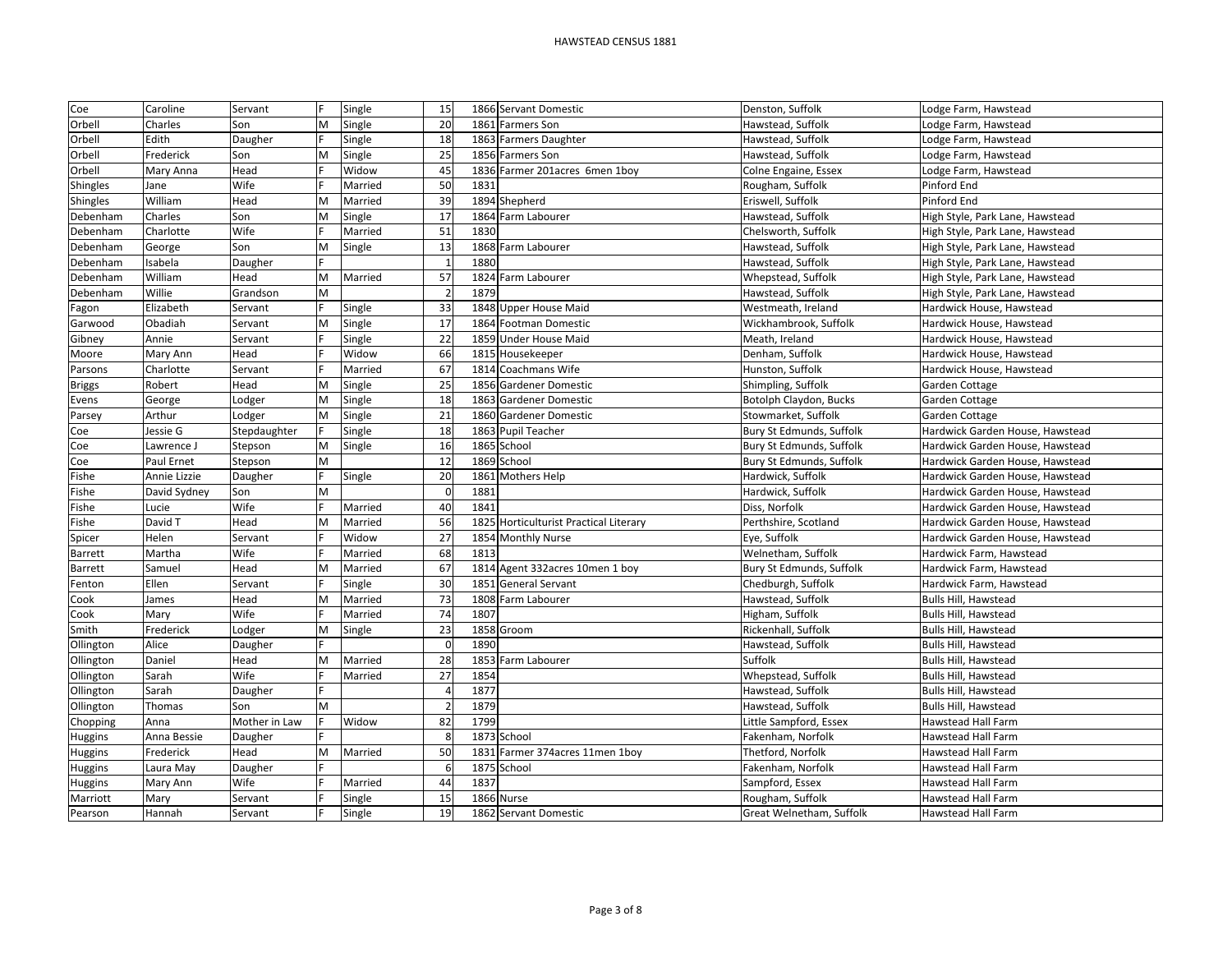| Coe             | Caroline     | Servant       |   | Single  | 15 |      | 1866 Servant Domestic                  | Denston, Suffolk         | Lodge Farm, Hawstead            |
|-----------------|--------------|---------------|---|---------|----|------|----------------------------------------|--------------------------|---------------------------------|
| Orbell          | Charles      | Son           | M | Single  | 20 |      | 1861 Farmers Son                       | Hawstead, Suffolk        | Lodge Farm, Hawstead            |
| Orbell          | Edith        | Daugher       |   | Single  | 18 |      | 1863 Farmers Daughter                  | Hawstead, Suffolk        | Lodge Farm, Hawstead            |
| Orbell          | Frederick    | Son           | M | Single  | 25 |      | 1856 Farmers Son                       | Hawstead, Suffolk        | Lodge Farm, Hawstead            |
| Orbell          | Mary Anna    | Head          |   | Widow   | 45 |      | 1836 Farmer 201acres 6men 1boy         | Colne Engaine, Essex     | Lodge Farm, Hawstead            |
| <b>Shingles</b> | Jane         | Wife          |   | Married | 50 | 1831 |                                        | Rougham, Suffolk         | Pinford End                     |
| Shingles        | William      | Head          | M | Married | 39 |      | 1894 Shepherd                          | Eriswell, Suffolk        | Pinford End                     |
| Debenham        | Charles      | Son           | M | Single  | 17 |      | 1864 Farm Labourer                     | Hawstead, Suffolk        | High Style, Park Lane, Hawstead |
| Debenham        | Charlotte    | Wife          |   | Married | 51 | 1830 |                                        | Chelsworth, Suffolk      | High Style, Park Lane, Hawstead |
| Debenham        | George       | Son           | M | Single  | 13 |      | 1868 Farm Labourer                     | Hawstead, Suffolk        | High Style, Park Lane, Hawstead |
| Debenham        | Isabela      | Daugher       |   |         |    | 1880 |                                        | Hawstead, Suffolk        | High Style, Park Lane, Hawstead |
| Debenham        | William      | Head          | M | Married | 57 |      | 1824 Farm Labourer                     | Whepstead, Suffolk       | High Style, Park Lane, Hawstead |
| Debenham        | Willie       | Grandson      | M |         |    | 1879 |                                        | Hawstead, Suffolk        | High Style, Park Lane, Hawstead |
| Fagon           | Elizabeth    | Servant       |   | Single  | 33 |      | 1848 Upper House Maid                  | Westmeath, Ireland       | Hardwick House, Hawstead        |
| Garwood         | Obadiah      | Servant       | M | Single  | 17 |      | 1864 Footman Domestic                  | Wickhambrook, Suffolk    | Hardwick House, Hawstead        |
| Gibney          | Annie        | Servant       |   | Single  | 22 |      | 1859 Under House Maid                  | Meath, Ireland           | Hardwick House, Hawstead        |
| Moore           | Mary Ann     | Head          |   | Widow   | 66 |      | 1815 Housekeeper                       | Denham, Suffolk          | Hardwick House, Hawstead        |
| Parsons         | Charlotte    | Servant       |   | Married | 67 |      | 1814 Coachmans Wife                    | Hunston, Suffolk         | Hardwick House, Hawstead        |
| <b>Briggs</b>   | Robert       | Head          | M | Single  | 25 |      | 1856 Gardener Domestic                 | Shimpling, Suffolk       | Garden Cottage                  |
| Evens           | George       | Lodger        | M | Single  | 18 |      | 1863 Gardener Domestic                 | Botolph Claydon, Bucks   | Garden Cottage                  |
| Parsey          | Arthur       | Lodger        | M | Single  | 21 |      | 1860 Gardener Domestic                 | Stowmarket, Suffolk      | Garden Cottage                  |
| Coe             | Jessie G     | Stepdaughter  |   | Single  | 18 |      | 1863 Pupil Teacher                     | Bury St Edmunds, Suffolk | Hardwick Garden House, Hawstead |
| Coe             | Lawrence J   | Stepson       | M | Single  | 16 |      | 1865 School                            | Bury St Edmunds, Suffolk | Hardwick Garden House, Hawstead |
| Coe             | Paul Ernet   | Stepson       | M |         | 12 |      | 1869 School                            | Bury St Edmunds, Suffolk | Hardwick Garden House, Hawstead |
| Fishe           | Annie Lizzie | Daugher       |   | Single  | 20 |      | 1861 Mothers Help                      | Hardwick, Suffolk        | Hardwick Garden House, Hawstead |
| Fishe           | David Sydney | Son           | M |         |    | 1881 |                                        | Hardwick, Suffolk        | Hardwick Garden House, Hawstead |
| Fishe           | Lucie        | Wife          |   | Married | 40 | 1841 |                                        | Diss, Norfolk            | Hardwick Garden House, Hawstead |
| Fishe           | David T      | Head          | M | Married | 56 |      | 1825 Horticulturist Practical Literary | Perthshire, Scotland     | Hardwick Garden House, Hawstead |
| Spicer          | Helen        | Servant       |   | Widow   | 27 |      | 1854 Monthly Nurse                     | Eye, Suffolk             | Hardwick Garden House, Hawstead |
| Barrett         | Martha       | Wife          |   | Married | 68 | 1813 |                                        | Welnetham, Suffolk       | Hardwick Farm, Hawstead         |
| Barrett         | Samuel       | Head          | M | Married | 67 | 1814 | Agent 332acres 10men 1 boy             | Bury St Edmunds, Suffolk | Hardwick Farm, Hawstead         |
| Fenton          | Ellen        | Servant       |   | Single  | 30 |      | 1851 General Servant                   | Chedburgh, Suffolk       | Hardwick Farm, Hawstead         |
| Cook            | James        | Head          | M | Married | 73 |      | 1808 Farm Labourer                     | Hawstead, Suffolk        | Bulls Hill, Hawstead            |
| Cook            | Mary         | Wife          |   | Married | 74 | 1807 |                                        | Higham, Suffolk          | Bulls Hill, Hawstead            |
| Smith           | Frederick    | Lodger        | M | Single  | 23 |      | 1858 Groom                             | Rickenhall, Suffolk      | Bulls Hill, Hawstead            |
| Ollington       | Alice        | Daugher       |   |         | C  | 1890 |                                        | Hawstead, Suffolk        | Bulls Hill, Hawstead            |
| Ollington       | Daniel       | Head          | M | Married | 28 |      | 1853 Farm Labourer                     | Suffolk                  | Bulls Hill, Hawstead            |
| Ollington       | Sarah        | Wife          |   | Married | 27 | 1854 |                                        | Whepstead, Suffolk       | Bulls Hill, Hawstead            |
| Ollington       | Sarah        | Daugher       |   |         |    | 1877 |                                        | Hawstead, Suffolk        | Bulls Hill, Hawstead            |
| Ollington       | Thomas       | Son           | M |         |    | 1879 |                                        | Hawstead, Suffolk        | Bulls Hill, Hawstead            |
| Chopping        | Anna         | Mother in Law |   | Widow   | 82 | 1799 |                                        | Little Sampford, Essex   | Hawstead Hall Farm              |
| Huggins         | Anna Bessie  | Daugher       |   |         |    |      | 1873 School                            | Fakenham, Norfolk        | Hawstead Hall Farm              |
| Huggins         | Frederick    | Head          | M | Married | 50 |      | 1831 Farmer 374 acres 11 men 1 boy     | Thetford, Norfolk        | Hawstead Hall Farm              |
| Huggins         | Laura May    | Daugher       |   |         | 6  |      | 1875 School                            | Fakenham, Norfolk        | Hawstead Hall Farm              |
| Huggins         | Mary Ann     | Wife          |   | Married | 44 | 1837 |                                        | Sampford, Essex          | Hawstead Hall Farm              |
| Marriott        | Mary         | Servant       |   | Single  | 15 |      | 1866 Nurse                             | Rougham, Suffolk         | Hawstead Hall Farm              |
| Pearson         | Hannah       | Servant       |   | Single  | 19 |      | 1862 Servant Domestic                  | Great Welnetham, Suffolk | <b>Hawstead Hall Farm</b>       |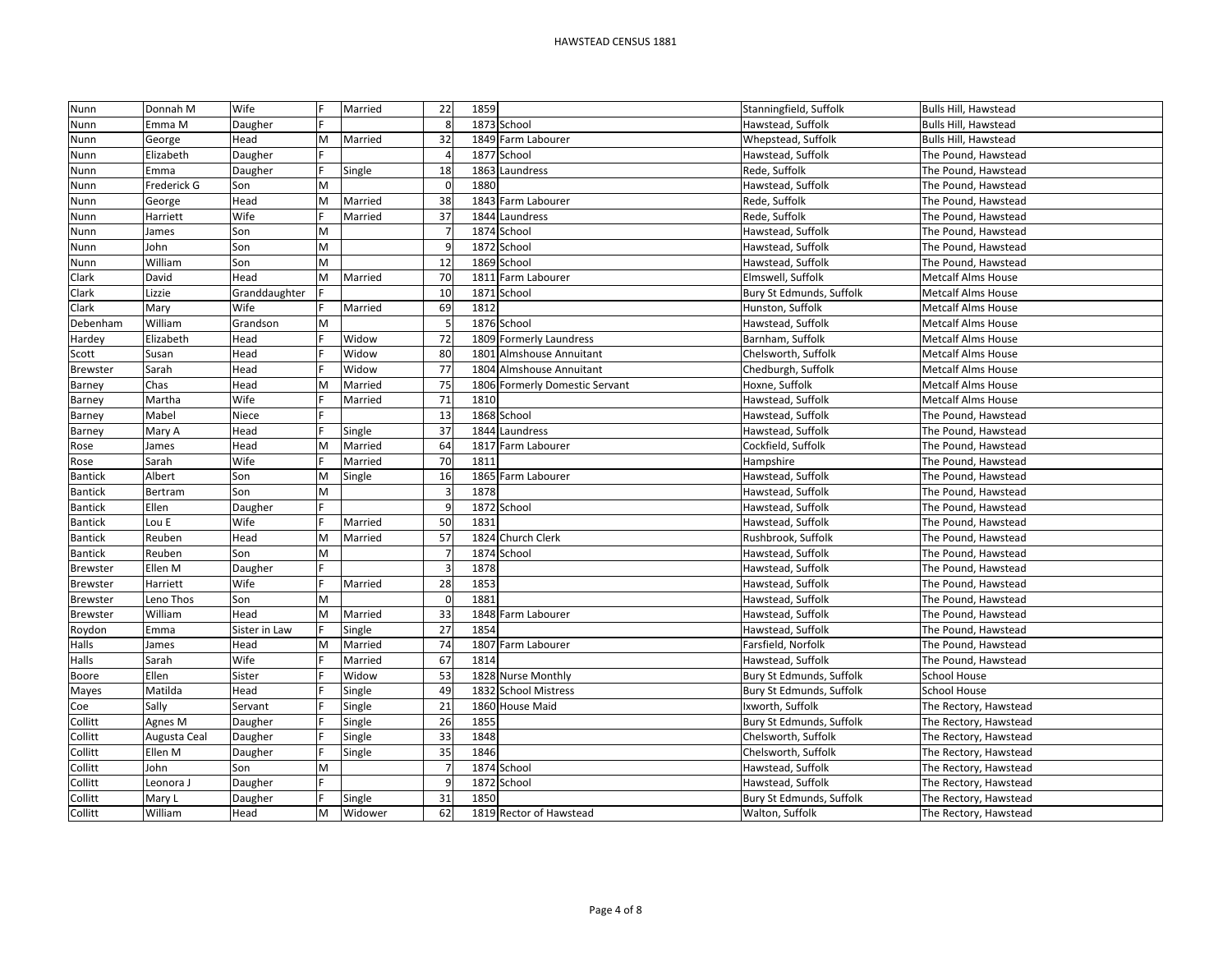| Nunn            | Donnah M     | Wife          |   | Married | 22       | 1859 |                                | Stanningfield, Suffolk   | Bulls Hill, Hawstead      |
|-----------------|--------------|---------------|---|---------|----------|------|--------------------------------|--------------------------|---------------------------|
| Nunn            | Emma M       | Daugher       |   |         |          |      | 1873 School                    | Hawstead. Suffolk        | Bulls Hill, Hawstead      |
| Nunn            | George       | Head          | M | Married | 32       |      | 1849 Farm Labourer             | Whepstead, Suffolk       | Bulls Hill, Hawstead      |
| Nunn            | Elizabeth    | Daugher       |   |         |          |      | 1877 School                    | Hawstead, Suffolk        | The Pound, Hawstead       |
| Nunn            | Emma         | Daugher       | F | Single  | 18       |      | 1863 Laundress                 | Rede, Suffolk            | The Pound, Hawstead       |
| Nunn            | Frederick G  | Son           | M |         | $\Omega$ | 1880 |                                | Hawstead, Suffolk        | The Pound, Hawstead       |
| Nunn            | George       | Head          | M | Married | 38       |      | 1843 Farm Labourer             | Rede, Suffolk            | The Pound, Hawstead       |
| Nunn            | Harriett     | Wife          |   | Married | 37       |      | 1844 Laundress                 | Rede, Suffolk            | The Pound, Hawstead       |
| Nunn            | James        | Son           | M |         |          |      | 1874 School                    | Hawstead, Suffolk        | The Pound, Hawstead       |
| Nunn            | John         | Son           | M |         |          |      | 1872 School                    | Hawstead, Suffolk        | The Pound, Hawstead       |
| Nunn            | William      | Son           | M |         | 12       |      | 1869 School                    | Hawstead, Suffolk        | The Pound, Hawstead       |
| Clark           | David        | Head          | M | Married | 70       |      | 1811 Farm Labourer             | Elmswell, Suffolk        | <b>Metcalf Alms House</b> |
| Clark           | Lizzie       | Granddaughter |   |         | 10       |      | 1871 School                    | Bury St Edmunds, Suffolk | <b>Metcalf Alms House</b> |
| Clark           | Mary         | Wife          |   | Married | 69       | 1812 |                                | Hunston, Suffolk         | <b>Metcalf Alms House</b> |
| Debenham        | William      | Grandson      | M |         |          |      | 1876 School                    | Hawstead, Suffolk        | <b>Metcalf Alms House</b> |
| Hardey          | Elizabeth    | Head          |   | Widow   | 72       |      | 1809 Formerly Laundress        | Barnham, Suffolk         | <b>Metcalf Alms House</b> |
| Scott           | Susan        | Head          |   | Widow   | 80       |      | 1801 Almshouse Annuitant       | Chelsworth, Suffolk      | Metcalf Alms House        |
| <b>Brewster</b> | Sarah        | Head          |   | Widow   | 77       |      | 1804 Almshouse Annuitant       | Chedburgh, Suffolk       | <b>Metcalf Alms House</b> |
| Barney          | Chas         | Head          | M | Married | 75       |      | 1806 Formerly Domestic Servant | Hoxne, Suffolk           | <b>Metcalf Alms House</b> |
| Barney          | Martha       | Wife          |   | Married | 71       | 1810 |                                | Hawstead, Suffolk        | <b>Metcalf Alms House</b> |
| Barney          | Mabel        | Niece         |   |         | 13       |      | 1868 School                    | Hawstead, Suffolk        | The Pound, Hawstead       |
| Barney          | Mary A       | Head          |   | Single  | 37       |      | 1844 Laundress                 | Hawstead, Suffolk        | The Pound, Hawstead       |
| Rose            | James        | Head          | M | Married | 64       |      | 1817 Farm Labourer             | Cockfield, Suffolk       | The Pound, Hawstead       |
| Rose            | Sarah        | Wife          |   | Married | 70       | 1811 |                                | Hampshire                | The Pound, Hawstead       |
| <b>Bantick</b>  | Albert       | Son           | M | Single  | 16       |      | 1865 Farm Labourer             | Hawstead, Suffolk        | The Pound, Hawstead       |
| <b>Bantick</b>  | Bertram      | Son           | M |         |          | 1878 |                                | Hawstead, Suffolk        | The Pound, Hawstead       |
| <b>Bantick</b>  | Ellen        | Daugher       |   |         |          |      | 1872 School                    | Hawstead, Suffolk        | The Pound, Hawstead       |
| <b>Bantick</b>  | Lou E        | Wife          |   | Married | 50       | 1831 |                                | Hawstead, Suffolk        | The Pound, Hawstead       |
| <b>Bantick</b>  | Reuben       | Head          | M | Married | 57       |      | 1824 Church Clerk              | Rushbrook, Suffolk       | The Pound, Hawstead       |
| <b>Bantick</b>  | Reuben       | Son           | M |         | 7        |      | 1874 School                    | Hawstead, Suffolk        | The Pound, Hawstead       |
| <b>Brewster</b> | Ellen M      | Daugher       |   |         |          | 1878 |                                | Hawstead, Suffolk        | The Pound, Hawstead       |
| <b>Brewster</b> | Harriett     | Wife          |   | Married | 28       | 1853 |                                | Hawstead, Suffolk        | The Pound, Hawstead       |
| <b>Brewster</b> | Leno Thos    | Son           | M |         |          | 1881 |                                | Hawstead, Suffolk        | The Pound, Hawstead       |
| <b>Brewster</b> | William      | Head          | M | Married | 33       |      | 1848 Farm Labourer             | Hawstead, Suffolk        | The Pound, Hawstead       |
| Roydon          | Emma         | Sister in Law |   | Single  | 27       | 1854 |                                | Hawstead, Suffolk        | The Pound, Hawstead       |
| Halls           | James        | Head          | M | Married | 74       |      | 1807 Farm Labourer             | Farsfield, Norfolk       | The Pound, Hawstead       |
| Halls           | Sarah        | Wife          |   | Married | 67       | 1814 |                                | Hawstead, Suffolk        | The Pound, Hawstead       |
| Boore           | Ellen        | Sister        |   | Widow   | 53       |      | 1828 Nurse Monthly             | Bury St Edmunds, Suffolk | <b>School House</b>       |
| Mayes           | Matilda      | Head          |   | Single  | 49       |      | 1832 School Mistress           | Bury St Edmunds, Suffolk | <b>School House</b>       |
| Coe             | Sally        | Servant       |   | Single  | 21       |      | 1860 House Maid                | Ixworth, Suffolk         | The Rectory, Hawstead     |
| Collitt         | Agnes M      | Daugher       |   | Single  | 26       | 1855 |                                | Bury St Edmunds, Suffolk | The Rectory, Hawstead     |
| Collitt         | Augusta Ceal | Daugher       |   | Single  | 33       | 1848 |                                | Chelsworth, Suffolk      | The Rectory, Hawstead     |
| Collitt         | Ellen M      | Daugher       |   | Single  | 35       | 1846 |                                | Chelsworth, Suffolk      | The Rectory, Hawstead     |
| Collitt         | John         | Son           | M |         |          |      | 1874 School                    | Hawstead, Suffolk        | The Rectory, Hawstead     |
| Collitt         | Leonora J    | Daugher       |   |         |          |      | 1872 School                    | Hawstead, Suffolk        | The Rectory, Hawstead     |
| Collitt         | Mary L       | Daugher       |   | Single  | 31       | 1850 |                                | Bury St Edmunds, Suffolk | The Rectory, Hawstead     |
| Collitt         | William      | Head          | M | Widower | 62       |      | 1819 Rector of Hawstead        | Walton, Suffolk          | The Rectory, Hawstead     |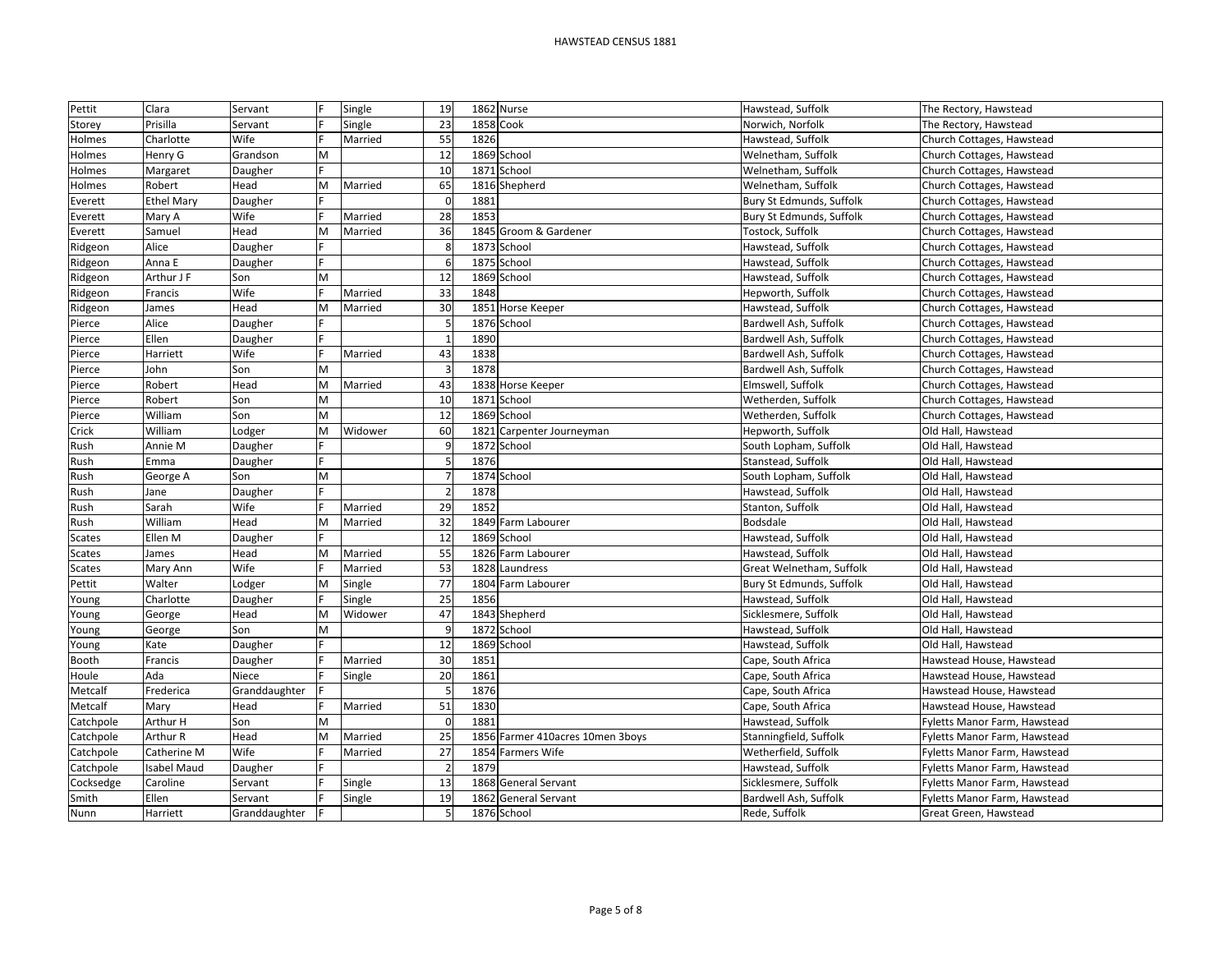| Pettit    | Clara              | Servant       |   | Single  | 19             |      | 1862 Nurse                       | Hawstead, Suffolk        | The Rectory, Hawstead        |
|-----------|--------------------|---------------|---|---------|----------------|------|----------------------------------|--------------------------|------------------------------|
| Storey    | Prisilla           | Servant       |   | Single  | 23             |      | 1858 Cook                        | Norwich, Norfolk         | The Rectory, Hawstead        |
| Holmes    | Charlotte          | Wife          |   | Married | 55             | 1826 |                                  | Hawstead, Suffolk        | Church Cottages, Hawstead    |
| Holmes    | Henry G            | Grandson      | M |         | 12             |      | 1869 School                      | Welnetham, Suffolk       | Church Cottages, Hawstead    |
| Holmes    | Margaret           | Daugher       |   |         | 10             | 1871 | School                           | Welnetham, Suffolk       | Church Cottages, Hawstead    |
| Holmes    | Robert             | Head          | M | Married | 65             |      | 1816 Shepherd                    | Welnetham, Suffolk       | Church Cottages, Hawstead    |
| Everett   | <b>Ethel Mary</b>  | Daugher       |   |         | $\sqrt{2}$     | 1881 |                                  | Bury St Edmunds, Suffolk | Church Cottages, Hawstead    |
| Everett   | Mary A             | Wife          |   | Married | 28             | 1853 |                                  | Bury St Edmunds, Suffolk | Church Cottages, Hawstead    |
| Everett   | Samuel             | Head          | M | Married | 36             |      | 1845 Groom & Gardener            | Tostock, Suffolk         | Church Cottages, Hawstead    |
| Ridgeon   | Alice              | Daugher       |   |         | 8              |      | 1873 School                      | Hawstead, Suffolk        | Church Cottages, Hawstead    |
| Ridgeon   | Anna E             | Daugher       |   |         | 6              |      | 1875 School                      | Hawstead, Suffolk        | Church Cottages, Hawstead    |
| Ridgeon   | Arthur J F         | Son           | M |         | 12             | 1869 | School                           | Hawstead, Suffolk        | Church Cottages, Hawstead    |
| Ridgeon   | Francis            | Wife          |   | Married | 33             | 1848 |                                  | Hepworth, Suffolk        | Church Cottages, Hawstead    |
| Ridgeon   | James              | Head          | M | Married | 30             | 1851 | <b>Horse Keeper</b>              | Hawstead, Suffolk        | Church Cottages, Hawstead    |
| Pierce    | Alice              | Daugher       |   |         | 5              |      | 1876 School                      | Bardwell Ash, Suffolk    | Church Cottages, Hawstead    |
| Pierce    | Ellen              | Daugher       |   |         |                | 1890 |                                  | Bardwell Ash, Suffolk    | Church Cottages, Hawstead    |
| Pierce    | Harriett           | Wife          |   | Married | 43             | 1838 |                                  | Bardwell Ash, Suffolk    | Church Cottages, Hawstead    |
| Pierce    | John               | Son           | M |         |                | 1878 |                                  | Bardwell Ash, Suffolk    | Church Cottages, Hawstead    |
| Pierce    | Robert             | Head          | M | Married | 43             | 1838 | <b>Horse Keeper</b>              | Elmswell, Suffolk        | Church Cottages, Hawstead    |
| Pierce    | Robert             | Son           | M |         | 10             |      | 1871 School                      | Wetherden, Suffolk       | Church Cottages, Hawstead    |
| Pierce    | William            | Son           | M |         | 12             |      | 1869 School                      | Wetherden, Suffolk       | Church Cottages, Hawstead    |
| Crick     | William            | Lodger        | M | Widower | 60             | 1821 | Carpenter Journeyman             | Hepworth, Suffolk        | Old Hall, Hawstead           |
| Rush      | Annie M            | Daugher       |   |         | q              |      | 1872 School                      | South Lopham, Suffolk    | Old Hall, Hawstead           |
| Rush      | Emma               | Daugher       |   |         | 5              | 1876 |                                  | Stanstead, Suffolk       | Old Hall, Hawstead           |
| Rush      | George A           | Son           | M |         |                |      | 1874 School                      | South Lopham, Suffolk    | Old Hall, Hawstead           |
| Rush      | Jane               | Daugher       |   |         |                | 1878 |                                  | Hawstead, Suffolk        | Old Hall, Hawstead           |
| Rush      | Sarah              | Wife          |   | Married | 29             | 1852 |                                  | Stanton, Suffolk         | Old Hall, Hawstead           |
| Rush      | William            | Head          | M | Married | 32             |      | 1849 Farm Labourer               | Bodsdale                 | Old Hall, Hawstead           |
| Scates    | Ellen M            | Daugher       |   |         | 12             |      | 1869 School                      | Hawstead, Suffolk        | Old Hall, Hawstead           |
| Scates    | James              | Head          | M | Married | 55             |      | 1826 Farm Labourer               | Hawstead, Suffolk        | Old Hall, Hawstead           |
| Scates    | Mary Ann           | Wife          |   | Married | 53             |      | 1828 Laundress                   | Great Welnetham, Suffolk | Old Hall, Hawstead           |
| Pettit    | Walter             | Lodger        | M | Single  | 77             |      | 1804 Farm Labourer               | Bury St Edmunds, Suffolk | Old Hall, Hawstead           |
| Young     | Charlotte          | Daugher       |   | Single  | 25             | 1856 |                                  | Hawstead, Suffolk        | Old Hall, Hawstead           |
| Young     | George             | Head          | M | Widower | 47             |      | 1843 Shepherd                    | Sicklesmere, Suffolk     | Old Hall, Hawstead           |
| Young     | George             | Son           | M |         |                |      | 1872 School                      | Hawstead, Suffolk        | Old Hall, Hawstead           |
| Young     | Kate               | Daugher       |   |         | 12             | 1869 | School                           | Hawstead, Suffolk        | Old Hall, Hawstead           |
| Booth     | Francis            | Daugher       |   | Married | 30             | 1851 |                                  | Cape, South Africa       | Hawstead House, Hawstead     |
| Houle     | Ada                | Niece         |   | Single  | 20             | 1861 |                                  | Cape, South Africa       | Hawstead House, Hawstead     |
| Metcalf   | Frederica          | Granddaughter |   |         |                | 1876 |                                  | Cape, South Africa       | Hawstead House, Hawstead     |
| Metcalf   | Mary               | Head          |   | Married | 51             | 1830 |                                  | Cape, South Africa       | Hawstead House, Hawstead     |
| Catchpole | Arthur H           | Son           | M |         |                | 1881 |                                  | Hawstead, Suffolk        | Fyletts Manor Farm, Hawstead |
| Catchpole | Arthur R           | Head          | M | Married | 25             |      | 1856 Farmer 410acres 10men 3boys | Stanningfield, Suffolk   | Fyletts Manor Farm, Hawstead |
| Catchpole | Catherine M        | Wife          |   | Married | 27             |      | 1854 Farmers Wife                | Wetherfield, Suffolk     | Fyletts Manor Farm, Hawstead |
| Catchpole | <b>Isabel Maud</b> | Daugher       |   |         | $\overline{2}$ | 1879 |                                  | Hawstead, Suffolk        | Fyletts Manor Farm, Hawstead |
| Cocksedge | Caroline           | Servant       |   | Single  | 13             | 1868 | <b>General Servant</b>           | Sicklesmere, Suffolk     | Fyletts Manor Farm, Hawstead |
| Smith     | Ellen              | Servant       |   | Single  | 19             | 1862 | <b>General Servant</b>           | Bardwell Ash, Suffolk    | Fyletts Manor Farm, Hawstead |
| Nunn      | Harriett           | Granddaughter |   |         |                |      | 1876 School                      | Rede, Suffolk            | Great Green, Hawstead        |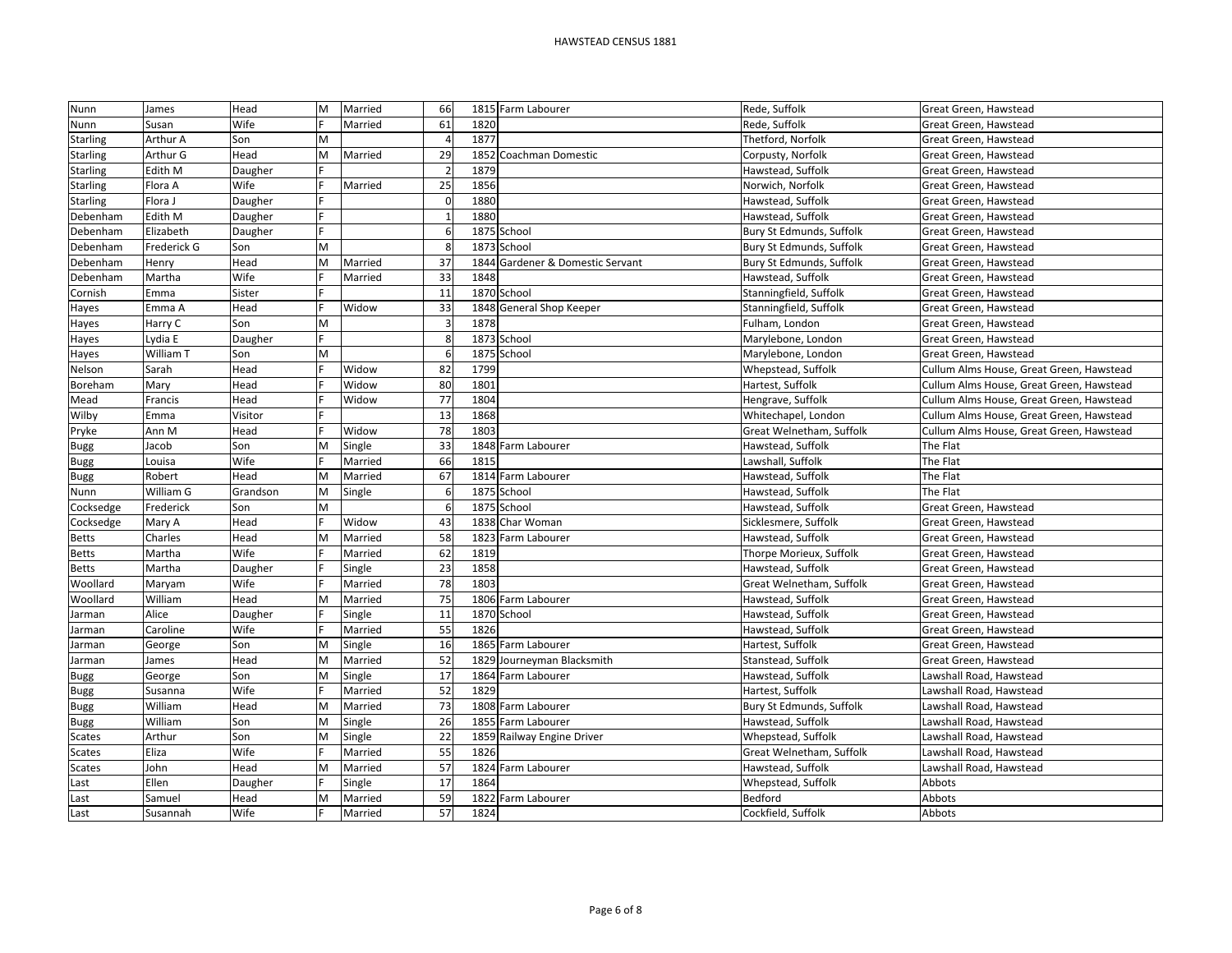| Nunn            | James       | Head     | M | Married | 66       |      | 1815 Farm Labourer               | Rede, Suffolk            | Great Green, Hawstead                    |
|-----------------|-------------|----------|---|---------|----------|------|----------------------------------|--------------------------|------------------------------------------|
| Nunn            | Susan       | Wife     |   | Married | 61       | 1820 |                                  | Rede, Suffolk            | Great Green, Hawstead                    |
| <b>Starling</b> | Arthur A    | Son      |   |         |          | 1877 |                                  | Thetford, Norfolk        | Great Green, Hawstead                    |
| <b>Starling</b> | Arthur G    | Head     | M | Married | 29       | 1852 | Coachman Domestic                | Corpusty, Norfolk        | Great Green, Hawstead                    |
| <b>Starling</b> | Edith M     | Daugher  |   |         |          | 1879 |                                  | Hawstead, Suffolk        | Great Green, Hawstead                    |
| <b>Starling</b> | Flora A     | Wife     |   | Married | 25       | 1856 |                                  | Norwich, Norfolk         | Great Green, Hawstead                    |
| <b>Starling</b> | Flora J     | Daugher  |   |         | $\Omega$ | 1880 |                                  | Hawstead, Suffolk        | Great Green, Hawstead                    |
| Debenham        | Edith M     | Daugher  |   |         |          | 1880 |                                  | Hawstead, Suffolk        | Great Green, Hawstead                    |
| Debenham        | Elizabeth   | Daugher  |   |         | 6        |      | 1875 School                      | Bury St Edmunds, Suffolk | Great Green, Hawstead                    |
| Debenham        | Frederick G | Son      | M |         |          |      | 1873 School                      | Bury St Edmunds, Suffolk | Great Green, Hawstead                    |
| Debenham        | Henry       | Head     | M | Married | 37       |      | 1844 Gardener & Domestic Servant | Bury St Edmunds, Suffolk | Great Green, Hawstead                    |
| Debenham        | Martha      | Wife     |   | Married | 33       | 1848 |                                  | Hawstead, Suffolk        | Great Green, Hawstead                    |
| Cornish         | Emma        | Sister   |   |         | 11       |      | 1870 School                      | Stanningfield, Suffolk   | Great Green, Hawstead                    |
| Hayes           | Emma A      | Head     |   | Widow   | 33       |      | 1848 General Shop Keeper         | Stanningfield, Suffolk   | Great Green, Hawstead                    |
| Hayes           | Harry C     | Son      | M |         |          | 1878 |                                  | Fulham, London           | Great Green, Hawstead                    |
| Hayes           | Lydia E     | Daugher  |   |         | 8        |      | 1873 School                      | Marylebone, London       | Great Green, Hawstead                    |
| Hayes           | William T   | Son      | M |         | 6        |      | 1875 School                      | Marylebone, London       | Great Green, Hawstead                    |
| Nelson          | Sarah       | Head     |   | Widow   | 82       | 1799 |                                  | Whepstead, Suffolk       | Cullum Alms House, Great Green, Hawstead |
| Boreham         | Mary        | Head     |   | Widow   | 80       | 1801 |                                  | Hartest, Suffolk         | Cullum Alms House, Great Green, Hawstead |
| Mead            | Francis     | Head     |   | Widow   | 77       | 1804 |                                  | Hengrave, Suffolk        | Cullum Alms House, Great Green, Hawstead |
| Wilby           | Emma        | Visitor  |   |         | 13       | 1868 |                                  | Whitechapel, London      | Cullum Alms House, Great Green, Hawstead |
| Pryke           | Ann M       | Head     |   | Widow   | 78       | 1803 |                                  | Great Welnetham, Suffolk | Cullum Alms House, Great Green, Hawstead |
| <b>Bugg</b>     | Jacob       | Son      | M | Single  | 33       |      | 1848 Farm Labourer               | Hawstead, Suffolk        | The Flat                                 |
| <b>Bugg</b>     | Louisa      | Wife     |   | Married | 66       | 1815 |                                  | Lawshall, Suffolk        | The Flat                                 |
| Bugg            | Robert      | Head     |   | Married | 67       |      | 1814 Farm Labourer               | Hawstead, Suffolk        | The Flat                                 |
| Nunn            | William G   | Grandson |   | Single  |          |      | 1875 School                      | Hawstead, Suffolk        | The Flat                                 |
| Cocksedge       | Frederick   | Son      | M |         |          |      | 1875 School                      | Hawstead, Suffolk        | Great Green, Hawstead                    |
| Cocksedge       | Mary A      | Head     |   | Widow   | 43       |      | 1838 Char Woman                  | Sicklesmere, Suffolk     | Great Green, Hawstead                    |
| Betts           | Charles     | Head     | M | Married | 58       |      | 1823 Farm Labourer               | Hawstead, Suffolk        | Great Green, Hawstead                    |
| <b>Betts</b>    | Martha      | Wife     |   | Married | 62       | 1819 |                                  | Thorpe Morieux, Suffolk  | Great Green, Hawstead                    |
| <b>Betts</b>    | Martha      | Daugher  |   | Single  | 23       | 1858 |                                  | Hawstead, Suffolk        | Great Green, Hawstead                    |
| Woollard        | Maryam      | Wife     |   | Married | 78       | 1803 |                                  | Great Welnetham, Suffolk | Great Green, Hawstead                    |
| Woollard        | William     | Head     |   | Married | 75       |      | 1806 Farm Labourer               | Hawstead, Suffolk        | Great Green, Hawstead                    |
| Jarman          | Alice       | Daugher  |   | Single  | 11       |      | 1870 School                      | Hawstead, Suffolk        | Great Green, Hawstead                    |
| Jarman          | Caroline    | Wife     |   | Married | 55       | 1826 |                                  | Hawstead, Suffolk        | Great Green, Hawstead                    |
| Jarman          | George      | Son      |   | Single  | 16       |      | 1865 Farm Labourer               | Hartest, Suffolk         | Great Green, Hawstead                    |
| Jarman          | James       | Head     | М | Married | 52       |      | 1829 Journeyman Blacksmith       | Stanstead, Suffolk       | Great Green, Hawstead                    |
| Bugg            | George      | Son      | M | Single  | 17       |      | 1864 Farm Labourer               | Hawstead, Suffolk        | Lawshall Road, Hawstead                  |
| Bugg            | Susanna     | Wife     |   | Married | 52       | 1829 |                                  | Hartest, Suffolk         | Lawshall Road, Hawstead                  |
| <b>Bugg</b>     | William     | Head     | M | Married | 73       |      | 1808 Farm Labourer               | Bury St Edmunds, Suffolk | Lawshall Road, Hawstead                  |
| <b>Bugg</b>     | William     | Son      | M | Single  | 26       |      | 1855 Farm Labourer               | Hawstead, Suffolk        | Lawshall Road, Hawstead                  |
| <b>Scates</b>   | Arthur      | Son      | M | Single  | 22       |      | 1859 Railway Engine Driver       | Whepstead, Suffolk       | Lawshall Road, Hawstead                  |
| <b>Scates</b>   | Eliza       | Wife     |   | Married | 55       | 1826 |                                  | Great Welnetham, Suffolk | Lawshall Road, Hawstead                  |
| Scates          | John        | Head     | M | Married | 57       |      | 1824 Farm Labourer               | Hawstead, Suffolk        | Lawshall Road, Hawstead                  |
| Last            | Ellen       | Daugher  |   | Single  | 17       | 1864 |                                  | Whepstead, Suffolk       | Abbots                                   |
| Last            | Samuel      | Head     | M | Married | 59       |      | 1822 Farm Labourer               | Bedford                  | Abbots                                   |
| Last            | Susannah    | Wife     |   | Married | 57       | 1824 |                                  | Cockfield, Suffolk       | Abbots                                   |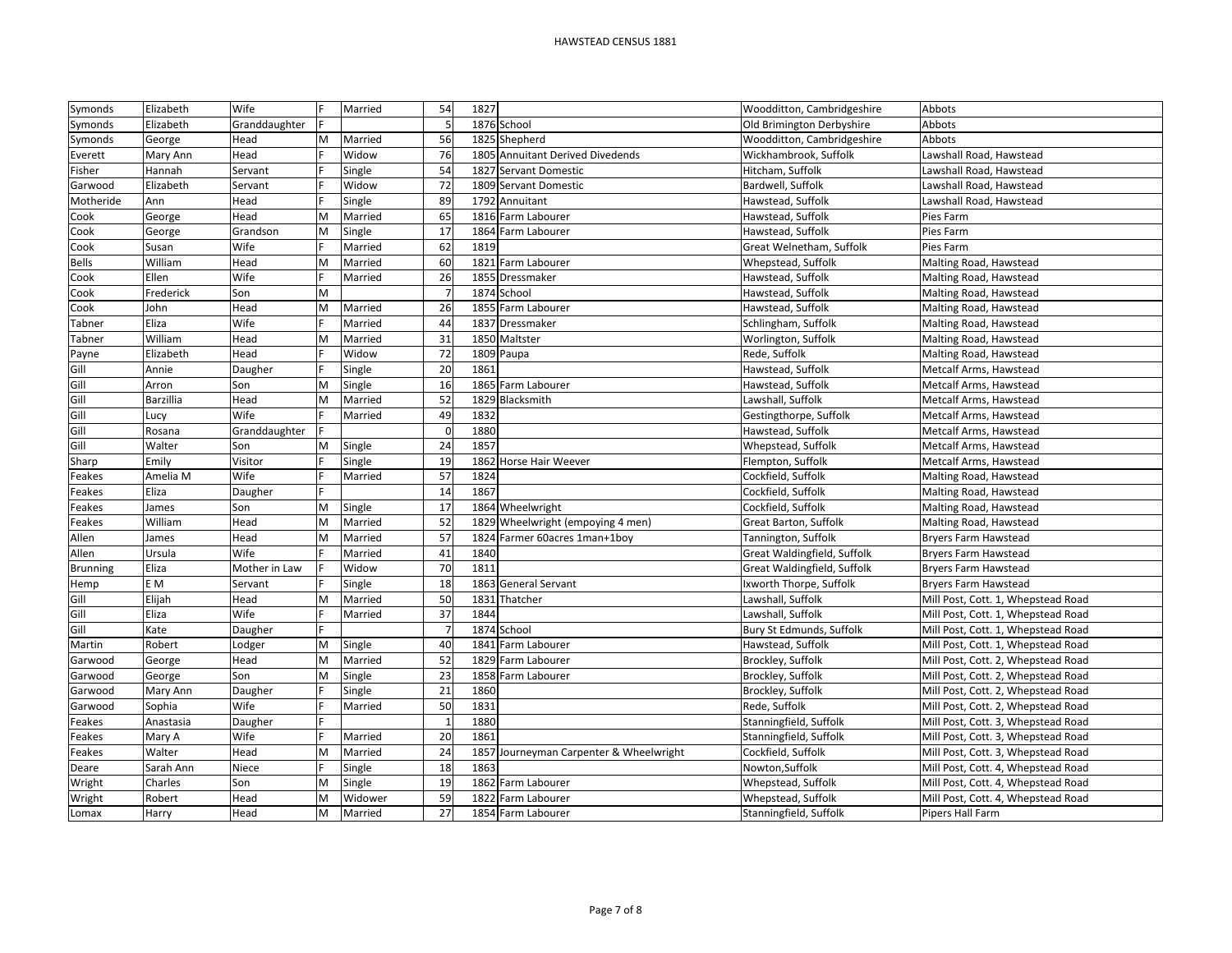## HAWSTEAD CENSUS 1881

| Symonds         | Elizabeth | Wife          |   | Married | 54       | 1827                                    | Woodditton, Cambridgeshire  | Abbots                             |
|-----------------|-----------|---------------|---|---------|----------|-----------------------------------------|-----------------------------|------------------------------------|
| Symonds         | Elizabeth | Granddaughter |   |         |          | 1876 School                             | Old Brimington Derbyshire   | Abbots                             |
| Symonds         | George    | Head          | M | Married | 56       | 1825 Shepherd                           | Woodditton, Cambridgeshire  | Abbots                             |
| Everett         | Mary Ann  | Head          |   | Widow   | 76       | 1805 Annuitant Derived Divedends        | Wickhambrook, Suffolk       | Lawshall Road, Hawstead            |
| Fisher          | Hannah    | Servant       |   | Single  | 54       | 1827 Servant Domestic                   | Hitcham, Suffolk            | Lawshall Road, Hawstead            |
| Garwood         | Elizabeth | Servant       |   | Widow   | 72       | 1809 Servant Domestic                   | Bardwell, Suffolk           | Lawshall Road, Hawstead            |
| Motheride       | Ann       | Head          |   | Single  | 89       | 1792 Annuitant                          | Hawstead, Suffolk           | Lawshall Road, Hawstead            |
| Cook            | George    | Head          | M | Married | 65       | 1816 Farm Labourer                      | Hawstead, Suffolk           | Pies Farm                          |
| Cook            | George    | Grandson      | M | Single  | 17       | 1864 Farm Labourer                      | Hawstead, Suffolk           | Pies Farm                          |
| Cook            | Susan     | Wife          |   | Married | 62       | 1819                                    | Great Welnetham, Suffolk    | Pies Farm                          |
| <b>Bells</b>    | William   | Head          | M | Married | 60       | 1821 Farm Labourer                      | Whepstead, Suffolk          | Malting Road, Hawstead             |
| Cook            | Ellen     | Wife          |   | Married | 26       | 1855 Dressmaker                         | Hawstead, Suffolk           | Malting Road, Hawstead             |
| Cook            | Frederick | Son           | M |         |          | 1874 School                             | Hawstead, Suffolk           | Malting Road, Hawstead             |
| Cook            | John      | Head          | M | Married | 26       | 1855 Farm Labourer                      | Hawstead, Suffolk           | Malting Road, Hawstead             |
| Tabner          | Eliza     | Wife          |   | Married | 44       | 1837 Dressmaker                         | Schlingham, Suffolk         | Malting Road, Hawstead             |
| Tabner          | William   | Head          | M | Married | 31       | 1850 Maltster                           | Worlington, Suffolk         | Malting Road, Hawstead             |
| Payne           | Elizabeth | Head          |   | Widow   | 72       | 1809 Paupa                              | Rede, Suffolk               | Malting Road, Hawstead             |
| Gill            | Annie     | Daugher       |   | Single  | 20       | 1861                                    | Hawstead, Suffolk           | Metcalf Arms, Hawstead             |
| Gill            | Arron     | Son           | M | Single  | 16       | 1865<br>Farm Labourer                   | Hawstead, Suffolk           | Metcalf Arms, Hawstead             |
| Gill            | Barzillia | Head          | M | Married | 52       | 1829 Blacksmith                         | Lawshall, Suffolk           | Metcalf Arms, Hawstead             |
| Gill            | Lucy      | Wife          |   | Married | 49       | 1832                                    | Gestingthorpe, Suffolk      | Metcalf Arms, Hawstead             |
| Gill            | Rosana    | Granddaughter |   |         | $\Omega$ | 1880                                    | Hawstead, Suffolk           | Metcalf Arms, Hawstead             |
| Gill            | Walter    | Son           | M | Single  | 24       | 1857                                    | Whepstead, Suffolk          | Metcalf Arms, Hawstead             |
| Sharp           | Emily     | Visitor       |   | Single  | 19       | 1862 Horse Hair Weever                  | Flempton, Suffolk           | Metcalf Arms, Hawstead             |
| Feakes          | Amelia M  | Wife          |   | Married | 57       | 1824                                    | Cockfield, Suffolk          | Malting Road, Hawstead             |
| Feakes          | Eliza     | Daugher       |   |         | 14       | 1867                                    | Cockfield, Suffolk          | Malting Road, Hawstead             |
| Feakes          | James     | Son           | M | Single  | 17       | 1864 Wheelwright                        | Cockfield, Suffolk          | Malting Road, Hawstead             |
| Feakes          | William   | Head          | M | Married | 52       | 1829 Wheelwright (empoying 4 men)       | Great Barton, Suffolk       | Malting Road, Hawstead             |
| Allen           | James     | Head          | M | Married | 57       | 1824 Farmer 60acres 1man+1boy           | Tannington, Suffolk         | Bryers Farm Hawstead               |
| Allen           | Ursula    | Wife          |   | Married | 41       | 1840                                    | Great Waldingfield, Suffolk | <b>Bryers Farm Hawstead</b>        |
| <b>Brunning</b> | Eliza     | Mother in Law |   | Widow   | 70       | 1811                                    | Great Waldingfield, Suffolk | <b>Bryers Farm Hawstead</b>        |
| Hemp            | E M       | Servant       |   | Single  | 18       | 1863 General Servant                    | Ixworth Thorpe, Suffolk     | <b>Bryers Farm Hawstead</b>        |
| Gill            | Elijah    | Head          | M | Married | 50       | 1831<br>Thatcher                        | Lawshall, Suffolk           | Mill Post, Cott. 1, Whepstead Road |
| Gill            | Eliza     | Wife          |   | Married | 37       | 1844                                    | Lawshall, Suffolk           | Mill Post, Cott. 1, Whepstead Road |
| Gill            | Kate      | Daugher       |   |         |          | 1874 School                             | Bury St Edmunds, Suffolk    | Mill Post, Cott. 1, Whepstead Road |
| Martin          | Robert    | Lodger        | M | Single  | 40       | 1841 Farm Labourer                      | Hawstead, Suffolk           | Mill Post, Cott. 1, Whepstead Road |
| Garwood         | George    | Head          | M | Married | 52       | 1829 Farm Labourer                      | Brockley, Suffolk           | Mill Post, Cott. 2, Whepstead Road |
| Garwood         | George    | Son           | M | Single  | 23       | 1858 Farm Labourer                      | Brockley, Suffolk           | Mill Post, Cott. 2, Whepstead Road |
| Garwood         | Mary Ann  | Daugher       |   | Single  | 21       | 1860                                    | Brockley, Suffolk           | Mill Post, Cott. 2, Whepstead Road |
| Garwood         | Sophia    | Wife          |   | Married | 50       | 1831                                    | Rede, Suffolk               | Mill Post, Cott. 2, Whepstead Road |
| Feakes          | Anastasia | Daugher       |   |         |          | 1880                                    | Stanningfield, Suffolk      | Mill Post, Cott. 3, Whepstead Road |
| Feakes          | Mary A    | Wife          |   | Married | 20       | 1861                                    | Stanningfield, Suffolk      | Mill Post, Cott. 3, Whepstead Road |
| Feakes          | Walter    | Head          | M | Married | 24       | 1857 Journeyman Carpenter & Wheelwright | Cockfield, Suffolk          | Mill Post, Cott. 3, Whepstead Road |
| Deare           | Sarah Ann | Niece         |   | Single  | 18       | 1863                                    | Nowton, Suffolk             | Mill Post, Cott. 4, Whepstead Road |
| Wright          | Charles   | Son           | M | Single  | 19       | 1862 Farm Labourer                      | Whepstead, Suffolk          | Mill Post, Cott. 4, Whepstead Road |
| Wright          | Robert    | Head          | M | Widower | 59       | 1822 Farm Labourer                      | Whepstead, Suffolk          | Mill Post, Cott. 4, Whepstead Road |
| Lomax           | Harry     | Head          | M | Married | 27       | 1854 Farm Labourer                      | Stanningfield, Suffolk      | Pipers Hall Farm                   |